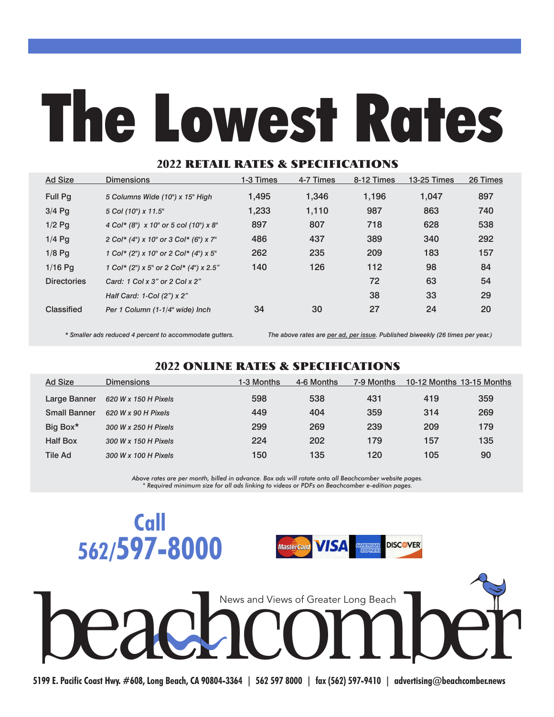## The Lowest Rates

## 2022 RETAIL RATES & SPECIFICATIONS

| <b>Ad Size</b>     | <b>Dimensions</b>                      | 1-3 Times | 4-7 Times | 8-12 Times | <b>13-25 Times</b> | 26 Times |
|--------------------|----------------------------------------|-----------|-----------|------------|--------------------|----------|
| <b>Full Pq</b>     | 5 Columns Wide (10") x 15" High        | 1,495     | 1.346     | 1,196      | 1.047              | 897      |
| $3/4$ Pq           | 5 Col (10") x 11.5"                    | 1,233     | 1,110     | 987        | 863                | 740      |
| $1/2$ Pq           | 4 Col* (8") x 10" or 5 col (10") x 8"  | 897       | 807       | 718        | 628                | 538      |
| $1/4$ Pq           | 2 Col* (4") x 10" or 3 Col* (6") x 7"  | 486       | 437       | 389        | 340                | 292      |
| $1/8$ Pq           | 1 Col* (2") x 10" or 2 Col* (4") x 5"  | 262       | 235       | 209        | 183                | 157      |
| $1/16$ Pa          | 1 Col* (2") x 5" or 2 Col* (4") x 2.5" | 140       | 126       | 112        | 98                 | 84       |
| <b>Directories</b> | Card: 1 Col x 3" or 2 Col x 2"         |           |           | 72         | 63                 | 54       |
|                    | Half Card: 1-Col (2") x 2"             |           |           | 38         | 33                 | 29       |
| Classified         | Per 1 Column (1-1/4" wide) Inch        | 34        | 30        | 27         | 24                 | 20       |

*\* Smaller ads reduced 4 percent to accommodate gutters. The above rates are per ad, per issue. Published biweekly (26 times per year.)*

## 2022 ONLINE RATES & SPECIFICATIONS

| Ad Size             | <b>Dimensions</b>    | 1-3 Months | 4-6 Months | 7-9 Months | 10-12 Months 13-15 Months |     |
|---------------------|----------------------|------------|------------|------------|---------------------------|-----|
| Large Banner        | 620 W x 150 H Pixels | 598        | 538        | 431        | 419                       | 359 |
| <b>Small Banner</b> | 620 W x 90 H Pixels  | 449        | 404        | 359        | 314                       | 269 |
| Big Box*            | 300 W x 250 H Pixels | 299        | 269        | 239        | 209                       | 179 |
| <b>Half Box</b>     | 300 W x 150 H Pixels | 224        | 202        | 179        | 157                       | 135 |
| <b>Tile Ad</b>      | 300 W x 100 H Pixels | 150        | 135        | 120        | 105                       | 90  |

*Above rates are per month, billed in advance. Box ads will rotate onto all Beachcomber website pages. \* Required minimum size for all ads linking to videos or PDFs on Beachcomber e-edition pages.*